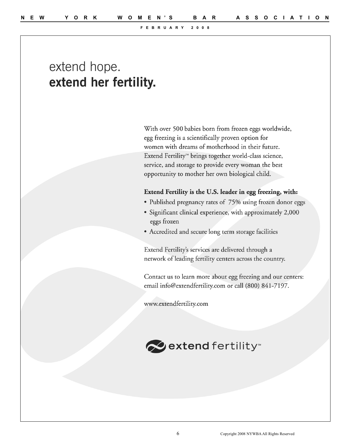# extend hope. extend her fertility.

With over 500 babies born from frozen eggs worldwide, egg freezing is a scientifically proven option for women with dreams of motherhood in their future. Extend Fertility<sup>™</sup> brings together world-class science, service, and storage to provide every woman the best opportunity to mother her own biological child.

#### Extend Fertility is the U.S. leader in egg freezing, with:

- Published pregnancy rates of 75% using frozen donor eggs
- Significant clinical experience, with approximately 2,000 eggs frozen
- Accredited and secure long term storage facilities

Extend Fertility's services are delivered through a network of leading fertility centers across the country.

Contact us to learn more about egg freezing and our centers: email info@extendfertility.com or call (800) 841-7197.

www.extendfertility.com

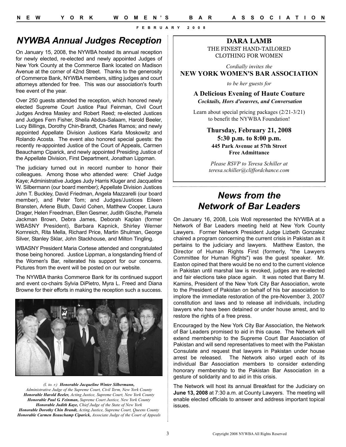## *NYWBA Annual Judges Reception*

On January 15, 2008, the NYWBA hosted its annual reception for newly elected, re-elected and newly appointed Judges of New York County at the Commerce Bank located on Madison Avenue at the corner of 42nd Street. Thanks to the generosity of Commerce Bank, NYWBA members, sitting judges and court attorneys attended for free. This was our association's fourth free event of the year.

Over 250 guests attended the reception, which honored newly elected Supreme Court Justice Paul Feinman, Civil Court Judges Andrea Masley and Robert Reed; re-elected Justices and Judges Fern Fisher, Sheila Abdus-Salaam, Harold Beeler, Lucy Billings, Dorothy Chin-Brandt, Charles Ramos; and newly appointed Appellate Division Justices Karla Moskowitz and Rolando Acosta. The event also honored special guests: the recently re-appointed Justice of the Court of Appeals, Carmen Beauchamp Ciparick, and newly appointed Presiding Justice of the Appellate Division, First Department, Jonathan Lippman.

The judiciary turned out in record number to honor their colleagues. Among those who attended were: Chief Judge Kaye; Administrative Judges Judy Harris Kluger and Jacqueline W. Silbermann (our board member); Appellate Division Justices John T. Buckley, David Friedman, Angela Mazzarelli (our board member), and Peter Tom; and Judges/Justices Eileen Bransten, Arlene Bluth, David Cohen, Matthew Cooper, Laura Drager, Helen Freedman, Ellen Gesmer, Judith Gische, Pamela Jackman Brown, Debra James, Deborah Kaplan (former WBASNY President), Barbara Kapnick, Shirley Werner Kornreich, Rita Mella, Richard Price, Martin Shulman, George Silver, Stanley Sklar, John Stackhouse, and Milton Tingling.

WBASNY President Maria Cortese attended and congratulated those being honored. Justice Lippman, a longstanding friend of the Women's Bar, reiterated his support for our concerns. Pictures from the event will be posted on our website.

The NYWBA thanks Commerce Bank for its continued support and event co-chairs Sylvia DiPietro, Myra L. Freed and Diana Browne for their efforts in making the reception such a success.



*(l. to. r.) Honorable Jacqueline Winter Silbermann, Administrative Judge of the Supreme Court, Civil Term, New York County Honorable Harold Beeler, Acting Justice, Supreme Court, New York County Honorable Paul G. Feinman, Supreme Court Justice, New York County Honorable Judith Kaye, Chief Judge of the State of New York Honorable Dorothy Chin Brandt, Acting Justice, Supreme Court, Queens County Honorable Carmen Beauchamp Ciparick, Associate Judge of the Court of Appeals*

## **DARA LAMB** THE FINEST HAND-TAILORED

CLOTHING FOR WOMEN

*Cordially invites the* **NEW YORK WOMEN'S BAR ASSOCIATION**

*to be her guests for*

**A Delicious Evening of Haute Couture** *Cocktails, Hors d'oeuvres, and Conversation*

Learn about special pricing packages (2/21-3/21) to benefit the NYWBA Foundation!

### **Thursday, February 21, 2008 5:30 p.m. to 8:00 p.m. 445 Park Avenue at 57th Street Free Admittance**

*Please RSVP to Teresa Schiller at teresa.schiller@cliffordchance.com*

## *News from the Network of Bar Leaders*

On January 16, 2008, Lois Woll represented the NYWBA at a Network of Bar Leaders meeting held at New York County Lawyers. Former Network President Judge Lizbeth Gonzalez chaired a program concerning the current crisis in Pakistan as it pertains to the judiciary and lawyers. Matthew Easton, the Director of Human Rights First (formerly, "the Lawyers Committee for Human Rights") was the guest speaker. Mr. Easton opined that there would be no end to the current violence in Pakistan until marshal law is revoked, judges are re-elected and fair elections take place again. It was noted that Barry M. Kamins, President of the New York City Bar Association, wrote to the President of Pakistan on behalf of his bar association to implore the immediate restoration of the pre-November 3, 2007 constitution and laws and to release all individuals, including lawyers who have been detained or under house arrest, and to restore the rights of a free press.

Encouraged by the New York City Bar Association, the Network of Bar Leaders promised to aid in this cause. The Network will extend membership to the Supreme Court Bar Association of Pakistan and will send representatives to meet with the Pakistan Consulate and request that lawyers in Pakistan under house arrest be released. The Network also urged each of its individual Bar Association members to consider extending honorary membership to the Pakistan Bar Association in a gesture of solidarity and to aid in this crisis.

The Network will host its annual Breakfast for the Judiciary on **June 13, 2008** at 7:30 a.m. at County Lawyers. The meeting will enable elected officials to answer and address important topical issues.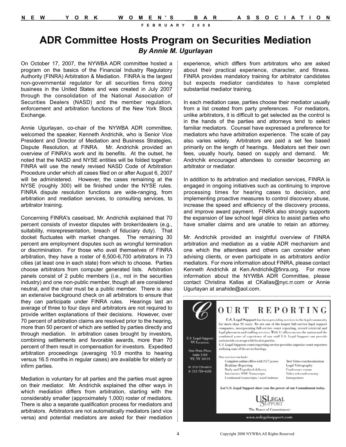## **ADR Committee Hosts Program on Securities Mediation** *By Annie M. Ugurlayan*

On October 17, 2007, the NYWBA ADR committee hosted a program on the basics of the Financial Industry Regulatory Authority (FINRA) Arbitration & Mediation. FINRA is the largest non-governmental regulator for all securities firms doing business in the United States and was created in July 2007 through the consolidation of the National Association of Securities Dealers (NASD) and the member regulation, enforcement and arbitration functions of the New York Stock Exchange.

Annie Ugurlayan, co-chair of the NYWBA ADR committee, welcomed the speaker, Kenneth Andrichik, who is Senior Vice President and Director of Mediation and Business Strategies, Dispute Resolution, at FINRA. Mr. Andrichik provided an overview of FINRA's work and its benefits. At the outset, he noted that the NASD and NYSE entities will be folded together. FINRA will use the newly revised NASD Code of Arbitration Procedure under which all cases filed on or after August 6, 2007 will be administered. However, the cases remaining at the NYSE (roughly 300) will be finished under the NYSE rules. FINRA dispute resolution functions are wide-ranging, from arbitration and mediation services, to consulting services, to arbitrator training.

Concerning FINRA's caseload, Mr. Andrichik explained that 70 percent consists of investor disputes with broker/dealers (e.g., suitability, misrepresentation, breach of fiduciary duty). That docket fluctuates with market changes. The remaining 30 percent are employment disputes such as wrongful termination or discrimination. For those who avail themselves of FINRA arbitration, they have a roster of 6,500-6,700 arbitrators in 73 cities (at least one in each state) from which to choose. Parties choose arbitrators from computer generated lists. Arbitration panels consist of 2 public members (i.e., not in the securities industry) and one non-public member, though all are considered neutral, and the chair must be a public member. There is also an extensive background check on all arbitrators to ensure that they can participate under FINRA rules. Hearings last an average of three to four days and arbitrators are not required to provide written explanations of their decisions. However, over 70 percent of arbitration claims are resolved prior to the hearing, more than 50 percent of which are settled by parties directly and through mediation. In arbitration cases brought by investors, combining settlements and favorable awards, more than 70 percent of them result in compensation for investors. Expedited arbitration proceedings (averaging 10.9 months to hearing versus 16.5 months in regular cases) are available for elderly or infirm parties.

Mediation is voluntary for all parties and the parties must agree on their mediator. Mr. Andrichik explained the other ways in which mediation differs from arbitration, starting with the considerably smaller (approximately 1,000) roster of mediators. There is also a separate qualification process for mediators and arbitrators. Arbitrators are not automatically mediators (and vice versa) and potential mediators are asked for their mediation

experience, which differs from arbitrators who are asked about their practical experience, character, and fitness. FINRA provides mandatory training for arbitrator candidates but expects mediator candidates to have completed substantial mediator training.

In each mediation case, parties choose their mediator usually from a list created from party preferences. For mediators, unlike arbitrators, it is difficult to get selected as the control is in the hands of the parties and attorneys tend to select familiar mediators. Counsel have expressed a preference for mediators who have arbitration experience. The scale of pay also varies widely. Arbitrators are paid a set fee based primarily on the length of hearings. Mediators set their own fees, usually hourly, based on supply and demand. Mr. Andrichik encouraged attendees to consider becoming an arbitrator or mediator.

In addition to its arbitration and mediation services, FINRA is engaged in ongoing initiatives such as continuing to improve processing times for hearing cases to decision, and implementing proactive measures to control discovery abuse, increase the speed and efficiency of the discovery process, and improve award payment. FINRA also strongly supports the expansion of law school legal clinics to assist parties who have smaller claims and are unable to retain an attorney.

Mr. Andrichik provided an insightful overview of FINRA arbitration and mediation as a viable ADR mechanism and one which the attendees and others can consider when advising clients, or even participate in as arbitrators and/or mediators. For more information about FINRA, please contact Kenneth Andrichik at Ken.Andrichik@finra.org. For more information about the NYWBA ADR Committee, please contact Christina Kallas at CKallas@nyc.rr.com or Annie Ugurlayan at anahide@aol.com.

**REPORTING** OURT U.S. Legal Support has been providing services to the legal community for more than 20 years. We are one of the largest full-service legal support companies, incorporating full-service court reporting, record retrieval and legal placement and staffing services. With 37 offices across the nation and the combined years of experience of our staff ILS. Legal Support can provide U.S. Legal Support nationwide coverage with local expertise. NY Locatio U.S. Legal Supports court reporting service provides superior court reporters utilizing state of the art technology. One Penn Plaza **Suite 1410** Our services include: NY, NY 10119 Complete online office with 24/7 access Text Video synchronization Realtime Reporting Legal Videography P: 212-759-6014 Daily and Expedited delivery Conference re F: 212-759-6155 Interactive PDF Transcripts Video teleconferencing Condensed transcripts / word indexes Interpreters Let U.S. Legal Support show you the power of our Commitment today. **SLEGAL** SUPPORT The Power of Commitment" www.uslegalsupport.com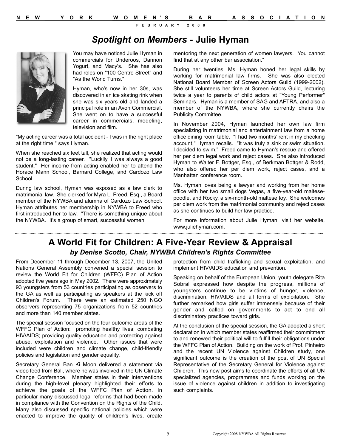## *Spotlight on Members* **- Julie Hyman**



You may have noticed Julie Hyman in commercials for Underoos, Dannon Yogurt, and Macy's. She has also had roles on "100 Centre Street" and "As the World Turns."

Hyman, who's now in her 30s, was discovered in an ice skating rink when she was six years old and landed a principal role in an Avon Commercial. She went on to have a successful career in commercials, modeling, television and film.

"My acting career was a total accident - I was in the right place at the right time," says Hyman.

When she reached six feet tall, she realized that acting would not be a long-lasting career. "Luckily, I was always a good student." Her income from acting enabled her to attend the Horace Mann School, Barnard College, and Cardozo Law School.

During law school, Hyman was exposed as a law clerk to matrimonial law. She clerked for Myra L. Freed, Esq., a Board member of the NYWBA and alumna of Cardozo Law School. Hyman attributes her membership in NYWBA to Freed who first introduced her to law. "There is something unique about the NYWBA. It's a group of smart, successful women

mentoring the next generation of women lawyers. You cannot find that at any other bar association."

During her twenties, Ms. Hyman honed her legal skills by working for matrimonial law firms. She was also elected National Board Member of Screen Actors Guild (1999-2002). She still volunteers her time at Screen Actors Guild, lecturing twice a year to parents of child actors at "Young Performer" Seminars. Hyman is a member of SAG and AFTRA, and also a member of the NYWBA, where she currently chairs the Publicity Committee.

In November 2004, Hyman launched her own law firm specializing in matrimonial and entertainment law from a home office dining room table. "I had two months' rent in my checking account," Hyman recalls. "It was truly a sink or swim situation. I decided to swim." Freed came to Hyman's rescue and offered her per diem legal work and reject cases. She also introduced Hyman to Walter F. Bottger, Esq., of Berkman Bottger & Rodd, who also offered her per diem work, reject cases, and a Manhattan conference room.

Ms. Hyman loves being a lawyer and working from her home office with her two small dogs Vegas, a five-year-old maltesepoodle, and Rocky, a six-month-old maltese toy. She welcomes per diem work from the matrimonial community and reject cases as she continues to build her law practice.

For more information about Julie Hyman, visit her website, www.juliehyman.com.

## **A World Fit for Children: A Five-Year Review & Appraisal**  *by Denise Scotto, Chair, NYWBA Children's Rights Committee*

From December 11 through December 13, 2007, the United Nations General Assembly convened a special session to review the World Fit for Children (WFFC) Plan of Action adopted five years ago in May 2002. There were approximately 93 youngsters from 53 countries participating as observers to the GA as well as participating as speakers at the kick off Children's Forum. There were an estimated 250 NGO observers representing 75 organizations from 52 countries and more than 140 member states.

The special session focused on the four outcome areas of the WFFC Plan of Action: promoting healthy lives; combating HIV/AIDS; providing quality education and protecting against abuse, exploitation and violence. Other issues that were included were children and climate change, child-friendly policies and legislation and gender equality.

Secretary General Ban Ki Moon delivered a statement via video feed from Bali, where he was involved in the UN Climate Change Conference. Member states in their interventions during the high-level plenary highlighted their efforts to achieve the goals of the WFFC Plan of Action. In particular many discussed legal reforms that had been made in compliance with the Convention on the Rights of the Child. Many also discussed specific national policies which were enacted to improve the quality of children's lives, create protection from child trafficking and sexual exploitation, and implement HIV/AIDS education and prevention.

Speaking on behalf of the European Union, youth delegate Rita Sobral expressed how despite the progress, millions of youngsters continue to be victims of hunger, violence, discrimination, HIV/AIDS and all forms of exploitation. She further remarked how girls suffer immensely because of their gender and called on governments to act to end all discriminatory practices toward girls.

At the conclusion of the special session, the GA adopted a short declaration in which member states reaffirmed their commitment to and renewed their political will to fulfill their obligations under the WFFC Plan of Action. Building on the work of Prof. Pinheiro and the recent UN Violence against Children study, one significant outcome is the creation of the post of UN Special Representative of the Secretary General for Violence against Children. This new post aims to coordinate the efforts of all UN specialized agencies, programmes and funds working on the issue of violence against children in addition to investigating such complaints.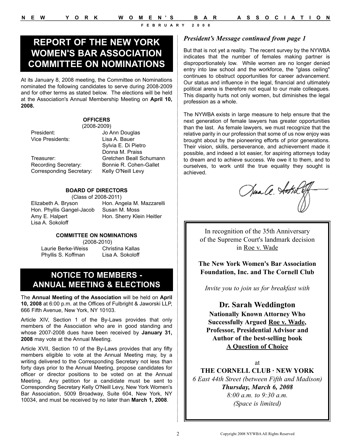# *President's Message continued from page 1* **REPORT OF THE NEW YORK WOMEN'S BAR ASSOCIATION COMMITTEE ON NOMINATIONS**

At its January 8, 2008 meeting, the Committee on Nominations nominated the following candidates to serve during 2008-2009 and for other terms as stated below. The elections will be held at the Association's Annual Membership Meeting on **April 10, 2008.**

#### **OFFICERS** (2008-2009)

President: Jo Ann Douglas Vice Presidents: Lisa A. Bauer

Recording Secretary: Bonnie R. Cohen-Gallet Corresponding Secretary: Kelly O'Neill Levy

Sylvia E. Di Pietro Donna M. Praiss Treasurer: Gretchen Beall Schumann

#### **BOARD OF DIRECTORS**

(Class of 2008-2011) Hon. Phyllis Gangel-Jacob Susan M. Moss Amy E. Halpert Hon. Sherry Klein Heitler Lisa A. Sokoloff

Elizabeth A. Bryson Hon. Angela M. Mazzarelli

#### **COMMITTEE ON NOMINATIONS**

Laurie Berke-Weiss Christina Kallas Phyllis S. Koffman Lisa A. Sokoloff

(2008-2010)

## **NOTICE TO MEMBERS - ANNUAL MEETING & ELECTIONS**

The **Annual Meeting of the Association** will be held on **April 10, 2008** at 6:00 p.m. at the Offices of Fulbright & Jaworski LLP, 666 Fifth Avenue, New York, NY 10103.

Article XIV, Section 1 of the By-Laws provides that only members of the Association who are in good standing and whose 2007-2008 dues have been received by **January 31, 2008** may vote at the Annual Meeting.

Article XVII, Section 10 of the By-Laws provides that any fifty members eligible to vote at the Annual Meeting may, by a writing delivered to the Corresponding Secretary not less than forty days prior to the Annual Meeting, propose candidates for officer or director positions to be voted on at the Annual Meeting. Any petition for a candidate must be sent to Corresponding Secretary Kelly O'Neill Levy, New York Women's Bar Association, 5009 Broadway, Suite 604, New York, NY 10034, and must be received by no later than **March 1, 2008**.

But that is not yet a reality. The recent survey by the NYWBA indicates that the number of females making partner is disproportionately low. While women are no longer denied entry into law school and the workforce, the "glass ceiling" continues to obstruct opportunities for career advancement. Our status and influence in the legal, financial and ultimately political arena is therefore not equal to our male colleagues. This disparity hurts not only women, but diminishes the legal profession as a whole.

The NYWBA exists in large measure to help ensure that the next generation of female lawyers has greater opportunities than the last. As female lawyers, we must recognize that the relative parity in our profession that some of us now enjoy was brought about by the pioneering efforts of prior generations. Their vision, skills, perseverance, and achievement made it possible, and indeed a lot easier, for aspiring attorneys today to dream and to achieve success. We owe it to them, and to ourselves, to work until the true equality they sought is achieved.

Jua Ce. Aotril

In recognition of the 35th Anniversary of the Supreme Court's landmark decision in Roe v. Wade

**The New York Women's Bar Association Foundation, Inc. and The Cornell Club**

*Invite you to join us for breakfast with*

#### **Dr. Sarah Weddington**

**Nationally Known Attorney Who Successfully Argued Roe v. Wade, Professor, Presidential Advisor and Author of the best-selling book A Question of Choice**

#### at

**THE CORNELL CLUB · NEW YORK** *6 East 44th Street (between Fifth and Madison) Thursday, March 6, 2008 8:00 a.m. to 9:30 a.m. (Space is limited)*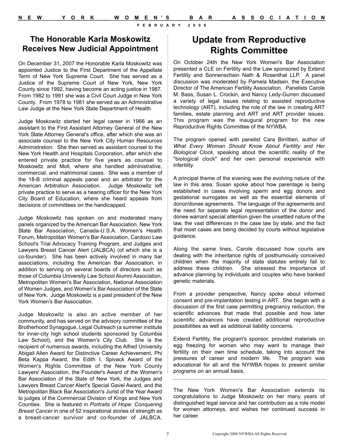## **The Honorable Karla Moskowitz Receives New Judicial Appointment**

On December 31, 2007 the Honorable Karla Moskowitz was appointed Justice to the First Department of the Appellate Term of New York Supreme Court. She has served as a Justice of the Supreme Court of New York, New York County since 1992, having become an acting justice in 1987. From 1982 to 1991 she was a Civil Court Judge in New York County. From 1978 to 1981 she served as an Administrative Law Judge at the New York State Department of Health.

Judge Moskowitz started her legal career in 1966 as an assistant to the First Assistant Attorney General of the New York State Attorney General's office, after which she was an associate counsel to the New York City Human Resources Administration. She then served as assistant counsel to the New York Health and Hospitals Corporation, after which she entered private practice for five years as counsel to Moskowitz and Moll, where she handled administrative, commercial, and matrimonial cases. She was a member of the 18-B criminal appeals panel and an arbitrator for the American Arbitration Association. Judge Moskowitz left private practice to serve as a hearing officer for the New York City Board of Education, where she heard appeals from decisions of committees on the handicapped.

Judge Moskowitz has spoken on and moderated many panels organized by the American Bar Association, New York State Bar Association, Canada-U.S.A. Women's Health Forum, Metropolitan Women's Bar Association, Cardozo Law School's Trial Advocacy Training Program, and Judges and Lawyers Breast Cancer Alert (JALBCA) (of which she is a co-founder). She has been actively involved in many bar associations, including the American Bar Association, in addition to serving on several boards of directors such as those of Columbia University Law School Alumni Association, Metropolitan Women's Bar Association, National Association of Women Judges, and Women's Bar Association of the State of New York. Judge Moskowitz is a past president of the New York Women's Bar Association.

Judge Moskowitz is also an active member of her community, and has served on the advisory committee of the Brotherhood Synagogue, Legal Outreach (a summer institute for inner-city high school students sponsored by Columbia Law School), and the Women's City Club. She is the recipient of numerous awards, including the Alfred University Abigail Allen Award for Distinctive Career Achievement, Phi Beta Kappa Award, the Edith I. Spivack Award of the Women's Rights Committee of the New York County Lawyers' Association, the Founder's Award of the Women's Bar Association of the State of New York, the Judges and Lawyers Breast Cancer Alert's Special Gavel Award, and the Metropolitan Black Bar Association's Jurist of the Year Award to judges of the Commercial Division of Kings and New York Counties. She is featured in *Portraits of Hope: Conquering Breast Cancer* in one of 52 inspirational stories of strength as a breast-cancer survivor and co-founder of JALBCA.

## **Update from Reproductive Rights Committee**

On October 24th the New York Women's Bar Association presented a CLE on Fertility and the Law sponsored by Extend Fertility and Sonnenschein Nath & Rosenthal LLP. A panel discussion was moderated by Pamela Madsen, the Executive Director of The American Fertility Association. Panelists Carole M. Bass, Susan L. Crockin, and Nancy Ledy-Gurren discussed a variety of legal issues relating to assisted reproductive technology (ART), including the role of the law in creating ART families, estate planning and ART and ART provider issues. This program was the inaugural program for the new Reproductive Rights Committee of the NYWBA.

The program opened with panelist Cara Birrittieri, author of *What Every Woman Should Know About Fertility and Her Biological Clock*, speaking about the scientific reality of the "biological clock" and her own personal experience with infertility.

A principal theme of the evening was the evolving nature of the law in this area. Susan spoke about how parentage is being established in cases involving sperm and egg donors and gestational surrogates as well as the essential elements of donor/donee agreements. The language of the agreements and the need for separate legal representation of the donor and donee warrant special attention given the unsettled nature of the law, the vast differences in the case law by state, and the fact that most cases are being decided by courts without legislative guidance.

Along the same lines, Carole discussed how courts are dealing with the inheritance rights of posthumously conceived children when the majority of state statutes entirely fail to address these children. She stressed the importance of advance planning by individuals and couples who have banked genetic materials.

From a provider perspective, Nancy spoke about informed consent and pre-implantation testing in ART. She began with a discussion of the first case permitting pregnancy reduction, the scientific advances that made that possible and how later scientific advances have created additional reproductive possibilities as well as additional liability concerns.

Extend Fertility, the program's sponsor, provided materials on egg freezing for women who may want to manage their fertility on their own time schedule, taking into account the pressures of career and modern life. The program was educational for all and the NYWBA hopes to present similar programs on an annual basis.

The New York Women's Bar Association extends its congratulations to Judge Moskowitz on her many years of distinguished legal service and her contribution as a role model for women attorneys, and wishes her continued success in her career.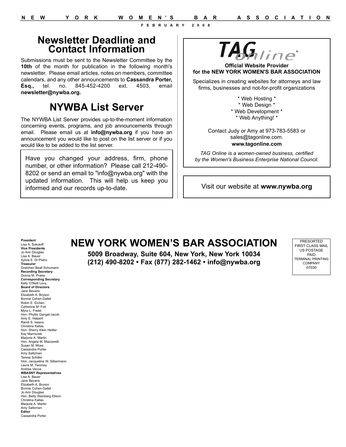## **Newsletter Deadline and Contact Information**

Submissions must be sent to the Newsletter Committee by the **10th** of the month for publication in the following month's newsletter. Please email articles, notes on members, committee calendars, and any other announcements to **Cassandra Porter, Esq.,** tel. no. 845-452-4200 ext. 4503, email **newsletter@nywba.org.**

# **NYWBA List Server**

The NYWBA List Server provides up-to-the-moment information concerning events, programs, and job announcements through email. Please email us at **info@nywba.org** if you have an announcement you would like to post on the list server or if you would like to be added to the list server.

Have you changed your address, firm, phone number, or other information? Please call 212-490- 8202 or send an email to "info@nywba.org" with the updated information. This will help us keep you informed and our records up-to-date.



**Official Website Provider for the NEW YORK WOMEN'S BAR ASSOCIATION**

Specializes in creating websites for attorneys and law firms, businesses and not-for-profit organizations

> \* Web Hosting \* \* Web Design \* \* Web Development \* \* Web Anything! \*

Contact Judy or Amy at 973-783-5583 or sales@tagonline.com. **www.tagonline.com**

*TAG Online is a women-owned business, certified by the Women's Business Enterprise National Council.*

Visit our website at **www.nywba.org**

# **NEW YORK WOMEN'S BAR ASSOCIATION**

**5009 Broadway, Suite 604, New York, New York 10034 (212) 490-8202 • Fax (877) 282-1462 • info@nywba.org**

PRESORTED FIRST CLASS MAIL US POSTAGE PAID TERMINAL PRINTING **COMPANY** 07030

Lisa A. Sokoloff **Vice Presidents** Jo Ann Douglas Lisa A. Bauer Sylvia E. Di Pietro **Treasurer** Gretchen Beall Schumann **Recording Secretary** Donna M. Praiss **Corresponding Secretary** Kelly O'Neill Levy, **Board of Directors** Jane Bevans Elizabeth A. Bryson Bonnie Cohen-Gallet Robin E. Eichen Catherine M. Foti Myra L. Freed Hon. Phyllis Gangel-Jacob Amy E. Halpert Randi S. Isaacs Christina Kallas Hon. Sherry Klein Heitler Kay Marmorek Marjorie A. Martin Hon. Angela M. Mazzarelli Susan M. Moss Cassandra Porter Amy Saltzman Teresa Schiller Hon. Jacqueline W. Silbermann Laura M. Twomey Andrea Vacca **WBASNY Representatives** Lisa A. Bauer Jane Bevans Elizabeth A. Bryson Bonnie Cohen-Gallet Jo Ann Douglas Hon. Betty Weinberg Ellerin Christina Kallas Marjorie A. Martin Amy Saltzman **Editor** Cassandra Porter

**President**